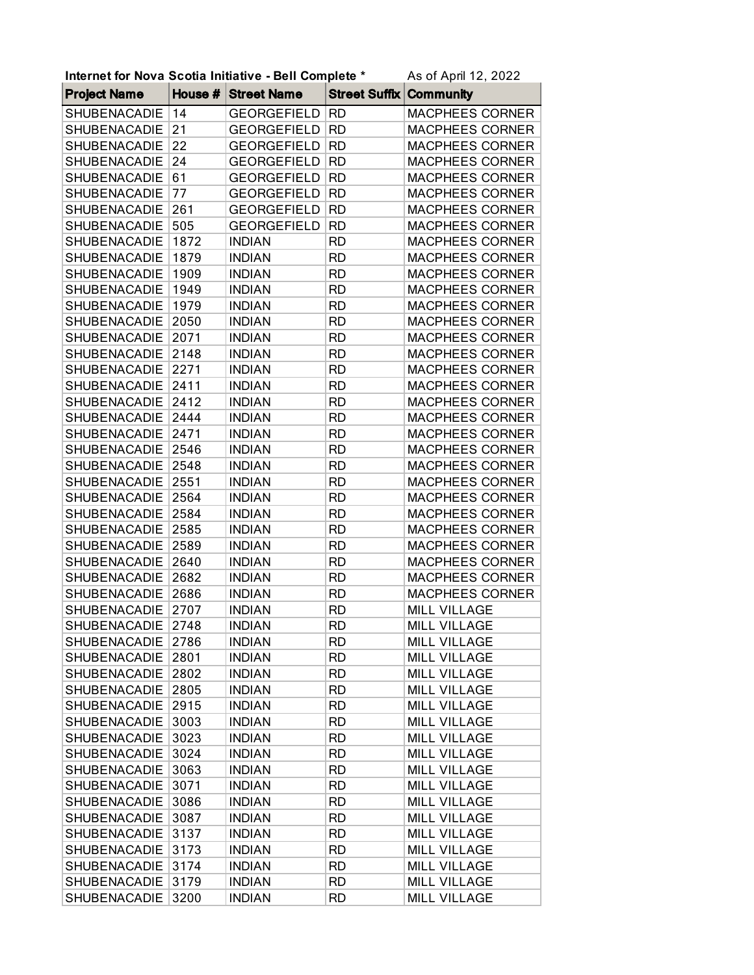| Internet for Nova Scotia Initiative - Bell Complete *<br>As of April 12, 2022 |      |                     |                      |                        |
|-------------------------------------------------------------------------------|------|---------------------|----------------------|------------------------|
| <b>Project Name</b>                                                           |      | House # Street Name | <b>Street Suffix</b> | <b>Community</b>       |
| SHUBENACADIE                                                                  | 14   | <b>GEORGEFIELD</b>  | <b>RD</b>            | MACPHEES CORNER        |
| SHUBENACADIE                                                                  | 21   | <b>GEORGEFIELD</b>  | <b>RD</b>            | <b>MACPHEES CORNER</b> |
| SHUBENACADIE                                                                  | 22   | <b>GEORGEFIELD</b>  | <b>RD</b>            | MACPHEES CORNER        |
| SHUBENACADIE                                                                  | 24   | <b>GEORGEFIELD</b>  | <b>RD</b>            | MACPHEES CORNER        |
| SHUBENACADIE                                                                  | 61   | <b>GEORGEFIELD</b>  | <b>RD</b>            | MACPHEES CORNER        |
| SHUBENACADIE                                                                  | 77   | <b>GEORGEFIELD</b>  | <b>RD</b>            | MACPHEES CORNER        |
| <b>SHUBENACADIE</b>                                                           | 261  | <b>GEORGEFIELD</b>  | <b>RD</b>            | MACPHEES CORNER        |
| SHUBENACADIE                                                                  | 505  | <b>GEORGEFIELD</b>  | <b>RD</b>            | <b>MACPHEES CORNER</b> |
| SHUBENACADIE                                                                  | 1872 | <b>INDIAN</b>       | <b>RD</b>            | <b>MACPHEES CORNER</b> |
| SHUBENACADIE                                                                  | 1879 | <b>INDIAN</b>       | <b>RD</b>            | MACPHEES CORNER        |
| SHUBENACADIE                                                                  | 1909 | <b>INDIAN</b>       | <b>RD</b>            | <b>MACPHEES CORNER</b> |
| SHUBENACADIE                                                                  | 1949 | <b>INDIAN</b>       | <b>RD</b>            | MACPHEES CORNER        |
| SHUBENACADIE                                                                  | 1979 | <b>INDIAN</b>       | <b>RD</b>            | <b>MACPHEES CORNER</b> |
| SHUBENACADIE                                                                  | 2050 | <b>INDIAN</b>       | <b>RD</b>            | <b>MACPHEES CORNER</b> |
| SHUBENACADIE                                                                  | 2071 | <b>INDIAN</b>       | <b>RD</b>            | MACPHEES CORNER        |
| SHUBENACADIE                                                                  | 2148 | <b>INDIAN</b>       | <b>RD</b>            | MACPHEES CORNER        |
| SHUBENACADIE                                                                  | 2271 | <b>INDIAN</b>       | <b>RD</b>            | <b>MACPHEES CORNER</b> |
| SHUBENACADIE                                                                  | 2411 | <b>INDIAN</b>       | <b>RD</b>            | MACPHEES CORNER        |
| <b>SHUBENACADIE</b>                                                           | 2412 | <b>INDIAN</b>       | <b>RD</b>            | <b>MACPHEES CORNER</b> |
| SHUBENACADIE                                                                  | 2444 | <b>INDIAN</b>       | <b>RD</b>            | <b>MACPHEES CORNER</b> |
| SHUBENACADIE                                                                  | 2471 | <b>INDIAN</b>       | <b>RD</b>            | <b>MACPHEES CORNER</b> |
| SHUBENACADIE                                                                  | 2546 | <b>INDIAN</b>       | <b>RD</b>            | MACPHEES CORNER        |
| SHUBENACADIE                                                                  | 2548 | <b>INDIAN</b>       | <b>RD</b>            | <b>MACPHEES CORNER</b> |
| SHUBENACADIE                                                                  | 2551 | <b>INDIAN</b>       | <b>RD</b>            | MACPHEES CORNER        |
| SHUBENACADIE                                                                  | 2564 | <b>INDIAN</b>       | <b>RD</b>            | <b>MACPHEES CORNER</b> |
| SHUBENACADIE                                                                  | 2584 | <b>INDIAN</b>       | <b>RD</b>            | MACPHEES CORNER        |
| SHUBENACADIE                                                                  | 2585 | <b>INDIAN</b>       | <b>RD</b>            | MACPHEES CORNER        |
| SHUBENACADIE                                                                  | 2589 | <b>INDIAN</b>       | <b>RD</b>            | MACPHEES CORNER        |
| SHUBENACADIE                                                                  | 2640 | <b>INDIAN</b>       | <b>RD</b>            | MACPHEES CORNER        |
| SHUBENACADIE                                                                  | 2682 | <b>INDIAN</b>       | <b>RD</b>            | MACPHEES CORNER        |
| <b>SHUBENACADIE</b>                                                           | 2686 | <b>INDIAN</b>       | <b>RD</b>            | MACPHEES CORNER        |
| SHUBENACADIE                                                                  | 2707 | <b>INDIAN</b>       | <b>RD</b>            | <b>MILL VILLAGE</b>    |
| SHUBENACADIE                                                                  | 2748 | <b>INDIAN</b>       | <b>RD</b>            | <b>MILL VILLAGE</b>    |
| <b>SHUBENACADIE</b>                                                           | 2786 | <b>INDIAN</b>       | <b>RD</b>            | <b>MILL VILLAGE</b>    |
| <b>SHUBENACADIE</b>                                                           | 2801 | <b>INDIAN</b>       | <b>RD</b>            | MILL VILLAGE           |
| <b>SHUBENACADIE</b>                                                           | 2802 | <b>INDIAN</b>       | RD.                  | <b>MILL VILLAGE</b>    |
| <b>SHUBENACADIE</b>                                                           | 2805 | <b>INDIAN</b>       | <b>RD</b>            | <b>MILL VILLAGE</b>    |
| <b>SHUBENACADIE</b>                                                           | 2915 | <b>INDIAN</b>       | <b>RD</b>            | <b>MILL VILLAGE</b>    |
| <b>SHUBENACADIE</b>                                                           | 3003 | <b>INDIAN</b>       | <b>RD</b>            | MILL VILLAGE           |
| <b>SHUBENACADIE</b>                                                           | 3023 | <b>INDIAN</b>       | <b>RD</b>            | <b>MILL VILLAGE</b>    |
| <b>SHUBENACADIE</b>                                                           | 3024 | <b>INDIAN</b>       | <b>RD</b>            | <b>MILL VILLAGE</b>    |
| <b>SHUBENACADIE</b>                                                           | 3063 | <b>INDIAN</b>       | <b>RD</b>            | <b>MILL VILLAGE</b>    |
| <b>SHUBENACADIE</b>                                                           | 3071 | <b>INDIAN</b>       | <b>RD</b>            | <b>MILL VILLAGE</b>    |
| SHUBENACADIE                                                                  | 3086 | <b>INDIAN</b>       | <b>RD</b>            | <b>MILL VILLAGE</b>    |
| <b>SHUBENACADIE</b>                                                           | 3087 | <b>INDIAN</b>       | RD.                  | MILL VILLAGE           |
| <b>SHUBENACADIE</b>                                                           | 3137 | <b>INDIAN</b>       | <b>RD</b>            | <b>MILL VILLAGE</b>    |
| SHUBENACADIE                                                                  | 3173 | <b>INDIAN</b>       | <b>RD</b>            | <b>MILL VILLAGE</b>    |
| <b>SHUBENACADIE</b>                                                           | 3174 | <b>INDIAN</b>       | RD.                  | <b>MILL VILLAGE</b>    |
| <b>SHUBENACADIE</b>                                                           | 3179 | <b>INDIAN</b>       | <b>RD</b>            | <b>MILL VILLAGE</b>    |
| SHUBENACADIE                                                                  | 3200 | <b>INDIAN</b>       | <b>RD</b>            | <b>MILL VILLAGE</b>    |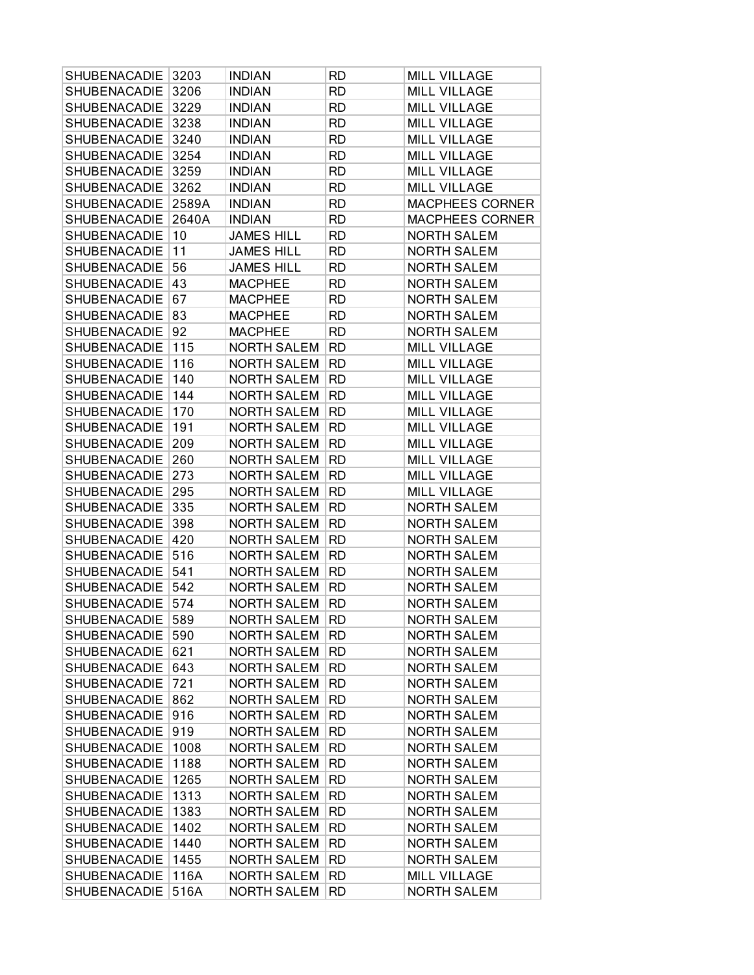| <b>SHUBENACADIE</b> | 3203  | <b>INDIAN</b>      | RD.       | <b>MILL VILLAGE</b>    |
|---------------------|-------|--------------------|-----------|------------------------|
| SHUBENACADIE        | 3206  | <b>INDIAN</b>      | <b>RD</b> | MILL VILLAGE           |
| SHUBENACADIE        | 3229  | <b>INDIAN</b>      | <b>RD</b> | <b>MILL VILLAGE</b>    |
| <b>SHUBENACADIE</b> | 3238  | <b>INDIAN</b>      | <b>RD</b> | <b>MILL VILLAGE</b>    |
| <b>SHUBENACADIE</b> | 3240  | <b>INDIAN</b>      | <b>RD</b> | <b>MILL VILLAGE</b>    |
| SHUBENACADIE        | 3254  | <b>INDIAN</b>      | <b>RD</b> | <b>MILL VILLAGE</b>    |
| <b>SHUBENACADIE</b> | 3259  | <b>INDIAN</b>      | <b>RD</b> | <b>MILL VILLAGE</b>    |
| SHUBENACADIE        | 3262  | <b>INDIAN</b>      | <b>RD</b> | <b>MILL VILLAGE</b>    |
| SHUBENACADIE        | 2589A | <b>INDIAN</b>      | <b>RD</b> | <b>MACPHEES CORNER</b> |
| <b>SHUBENACADIE</b> | 2640A | <b>INDIAN</b>      | <b>RD</b> | <b>MACPHEES CORNER</b> |
| <b>SHUBENACADIE</b> | 10    | <b>JAMES HILL</b>  | <b>RD</b> | <b>NORTH SALEM</b>     |
| <b>SHUBENACADIE</b> | 11    | <b>JAMES HILL</b>  | <b>RD</b> | <b>NORTH SALEM</b>     |
| <b>SHUBENACADIE</b> | 56    | <b>JAMES HILL</b>  | <b>RD</b> | <b>NORTH SALEM</b>     |
| SHUBENACADIE        | 43    | <b>MACPHEE</b>     | <b>RD</b> | <b>NORTH SALEM</b>     |
| SHUBENACADIE        | 67    | <b>MACPHEE</b>     | <b>RD</b> | <b>NORTH SALEM</b>     |
| SHUBENACADIE        | 83    | <b>MACPHEE</b>     | <b>RD</b> | <b>NORTH SALEM</b>     |
| <b>SHUBENACADIE</b> | 92    | <b>MACPHEE</b>     | <b>RD</b> | <b>NORTH SALEM</b>     |
| SHUBENACADIE        | 115   | <b>NORTH SALEM</b> | <b>RD</b> | <b>MILL VILLAGE</b>    |
| SHUBENACADIE        | 116   | <b>NORTH SALEM</b> | RD        | <b>MILL VILLAGE</b>    |
| SHUBENACADIE        | 140   | <b>NORTH SALEM</b> | <b>RD</b> | <b>MILL VILLAGE</b>    |
| SHUBENACADIE        | 144   | <b>NORTH SALEM</b> | <b>RD</b> | <b>MILL VILLAGE</b>    |
| SHUBENACADIE        |       |                    |           |                        |
|                     | 170   | <b>NORTH SALEM</b> | <b>RD</b> | <b>MILL VILLAGE</b>    |
| <b>SHUBENACADIE</b> | 191   | <b>NORTH SALEM</b> | <b>RD</b> | <b>MILL VILLAGE</b>    |
| <b>SHUBENACADIE</b> | 209   | <b>NORTH SALEM</b> | <b>RD</b> | <b>MILL VILLAGE</b>    |
| <b>SHUBENACADIE</b> | 260   | <b>NORTH SALEM</b> | RD.       | <b>MILL VILLAGE</b>    |
| SHUBENACADIE        | 273   | <b>NORTH SALEM</b> | <b>RD</b> | MILL VILLAGE           |
| SHUBENACADIE        | 295   | <b>NORTH SALEM</b> | <b>RD</b> | <b>MILL VILLAGE</b>    |
| <b>SHUBENACADIE</b> | 335   | <b>NORTH SALEM</b> | <b>RD</b> | <b>NORTH SALEM</b>     |
| <b>SHUBENACADIE</b> | 398   | <b>NORTH SALEM</b> | <b>RD</b> | <b>NORTH SALEM</b>     |
| SHUBENACADIE        | 420   | <b>NORTH SALEM</b> | <b>RD</b> | <b>NORTH SALEM</b>     |
| SHUBENACADIE        | 516   | <b>NORTH SALEM</b> | RD        | <b>NORTH SALEM</b>     |
| SHUBENACADIE        | 541   | <b>NORTH SALEM</b> | <b>RD</b> | <b>NORTH SALEM</b>     |
| SHUBENACADIE        | 542   | <b>NORTH SALEM</b> | <b>RD</b> | <b>NORTH SALEM</b>     |
| SHUBENACADIE        | 574   | <b>NORTH SALEM</b> | <b>RD</b> | <b>NORTH SALEM</b>     |
| SHUBENACADIE 589    |       | NORTH SALEM        | <b>RD</b> | <b>NORTH SALEM</b>     |
| <b>SHUBENACADIE</b> | 590   | <b>NORTH SALEM</b> | RD.       | <b>NORTH SALEM</b>     |
| SHUBENACADIE        | 621   | <b>NORTH SALEM</b> | RD.       | <b>NORTH SALEM</b>     |
| <b>SHUBENACADIE</b> | 643   | <b>NORTH SALEM</b> | <b>RD</b> | <b>NORTH SALEM</b>     |
| SHUBENACADIE        | 721   | <b>NORTH SALEM</b> | <b>RD</b> | <b>NORTH SALEM</b>     |
| <b>SHUBENACADIE</b> | 862   | <b>NORTH SALEM</b> | RD        | <b>NORTH SALEM</b>     |
| <b>SHUBENACADIE</b> | 916   | <b>NORTH SALEM</b> | <b>RD</b> | <b>NORTH SALEM</b>     |
| <b>SHUBENACADIE</b> | 919   | <b>NORTH SALEM</b> | <b>RD</b> | <b>NORTH SALEM</b>     |
| <b>SHUBENACADIE</b> | 1008  | <b>NORTH SALEM</b> | RD.       | <b>NORTH SALEM</b>     |
| <b>SHUBENACADIE</b> | 1188  | <b>NORTH SALEM</b> | <b>RD</b> | <b>NORTH SALEM</b>     |
| <b>SHUBENACADIE</b> | 1265  | NORTH SALEM        | <b>RD</b> | <b>NORTH SALEM</b>     |
| <b>SHUBENACADIE</b> | 1313  | NORTH SALEM        | <b>RD</b> | <b>NORTH SALEM</b>     |
| <b>SHUBENACADIE</b> | 1383  | <b>NORTH SALEM</b> | <b>RD</b> | <b>NORTH SALEM</b>     |
| <b>SHUBENACADIE</b> | 1402  | <b>NORTH SALEM</b> | <b>RD</b> | <b>NORTH SALEM</b>     |
| SHUBENACADIE        | 1440  | <b>NORTH SALEM</b> | RD.       | <b>NORTH SALEM</b>     |
| <b>SHUBENACADIE</b> | 1455  | <b>NORTH SALEM</b> | <b>RD</b> | <b>NORTH SALEM</b>     |
| SHUBENACADIE        | 116A  | <b>NORTH SALEM</b> | <b>RD</b> | MILL VILLAGE           |
| SHUBENACADIE        | 516A  | NORTH SALEM        | <b>RD</b> | <b>NORTH SALEM</b>     |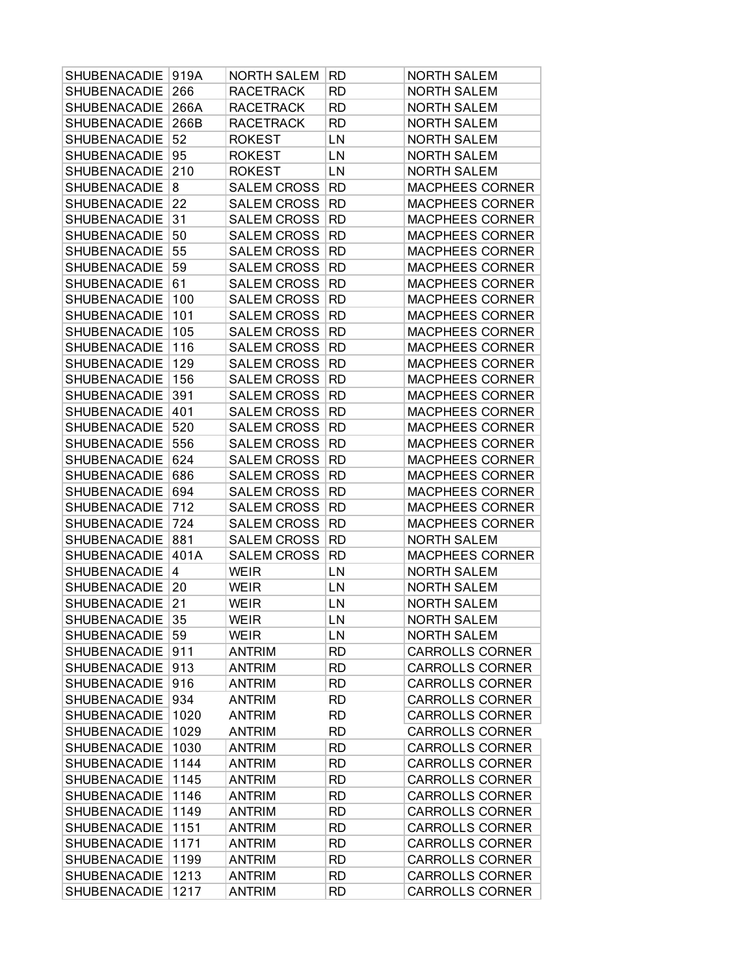| SHUBENACADIE        | 919A | <b>NORTH SALEM</b> | RD        | <b>NORTH SALEM</b>     |
|---------------------|------|--------------------|-----------|------------------------|
| SHUBENACADIE        | 266  | <b>RACETRACK</b>   | RD        | <b>NORTH SALEM</b>     |
| SHUBENACADIE        | 266A | <b>RACETRACK</b>   | <b>RD</b> | <b>NORTH SALEM</b>     |
| SHUBENACADIE        | 266B | <b>RACETRACK</b>   | RD        | <b>NORTH SALEM</b>     |
| SHUBENACADIE        | 52   | <b>ROKEST</b>      | LN        | <b>NORTH SALEM</b>     |
| SHUBENACADIE        | 95   | <b>ROKEST</b>      | LN        | <b>NORTH SALEM</b>     |
| SHUBENACADIE        | 210  | <b>ROKEST</b>      | LN        | <b>NORTH SALEM</b>     |
| SHUBENACADIE        | 8    | <b>SALEM CROSS</b> | <b>RD</b> | <b>MACPHEES CORNER</b> |
| SHUBENACADIE        | 22   | <b>SALEM CROSS</b> | <b>RD</b> | <b>MACPHEES CORNER</b> |
| SHUBENACADIE        | 31   | <b>SALEM CROSS</b> | <b>RD</b> | MACPHEES CORNER        |
| SHUBENACADIE        | 50   | <b>SALEM CROSS</b> | <b>RD</b> | <b>MACPHEES CORNER</b> |
| SHUBENACADIE        | 55   | <b>SALEM CROSS</b> | <b>RD</b> | <b>MACPHEES CORNER</b> |
| SHUBENACADIE        | 59   | <b>SALEM CROSS</b> | <b>RD</b> | <b>MACPHEES CORNER</b> |
| SHUBENACADIE        | 61   | <b>SALEM CROSS</b> | <b>RD</b> | <b>MACPHEES CORNER</b> |
| SHUBENACADIE        | 100  | <b>SALEM CROSS</b> | <b>RD</b> | MACPHEES CORNER        |
| SHUBENACADIE        | 101  | <b>SALEM CROSS</b> | <b>RD</b> | MACPHEES CORNER        |
| SHUBENACADIE        | 105  | <b>SALEM CROSS</b> | <b>RD</b> | <b>MACPHEES CORNER</b> |
| SHUBENACADIE        | 116  | <b>SALEM CROSS</b> | <b>RD</b> | <b>MACPHEES CORNER</b> |
| SHUBENACADIE        | 129  | <b>SALEM CROSS</b> | <b>RD</b> | MACPHEES CORNER        |
| SHUBENACADIE        | 156  | <b>SALEM CROSS</b> | <b>RD</b> | <b>MACPHEES CORNER</b> |
| SHUBENACADIE        | 391  | <b>SALEM CROSS</b> | <b>RD</b> | MACPHEES CORNER        |
| SHUBENACADIE        | 401  | <b>SALEM CROSS</b> | <b>RD</b> | MACPHEES CORNER        |
| SHUBENACADIE        | 520  | <b>SALEM CROSS</b> | <b>RD</b> | <b>MACPHEES CORNER</b> |
| SHUBENACADIE        | 556  | <b>SALEM CROSS</b> | <b>RD</b> | <b>MACPHEES CORNER</b> |
| SHUBENACADIE        | 624  | <b>SALEM CROSS</b> | <b>RD</b> | MACPHEES CORNER        |
| SHUBENACADIE        | 686  | <b>SALEM CROSS</b> | <b>RD</b> | <b>MACPHEES CORNER</b> |
| SHUBENACADIE        | 694  | <b>SALEM CROSS</b> | <b>RD</b> | <b>MACPHEES CORNER</b> |
| SHUBENACADIE        | 712  | <b>SALEM CROSS</b> | <b>RD</b> | MACPHEES CORNER        |
| SHUBENACADIE        | 724  | <b>SALEM CROSS</b> | <b>RD</b> | <b>MACPHEES CORNER</b> |
| SHUBENACADIE        | 881  | <b>SALEM CROSS</b> | <b>RD</b> | <b>NORTH SALEM</b>     |
| SHUBENACADIE        | 401A | <b>SALEM CROSS</b> | RD        | MACPHEES CORNER        |
| SHUBENACADIE        | 4    | <b>WEIR</b>        | LN        | <b>NORTH SALEM</b>     |
| SHUBENACADIE        | 20   | <b>WEIR</b>        | LN        | <b>NORTH SALEM</b>     |
| SHUBENACADIE        | 21   | <b>WEIR</b>        | LN        | <b>NORTH SALEM</b>     |
| SHUBENACADIE        | 35   | <b>WEIR</b>        | LN        | <b>NORTH SALEM</b>     |
| <b>SHUBENACADIE</b> | 59   | <b>WEIR</b>        | LN        | <b>NORTH SALEM</b>     |
| <b>SHUBENACADIE</b> | 911  | <b>ANTRIM</b>      | <b>RD</b> | <b>CARROLLS CORNER</b> |
| SHUBENACADIE        | 913  | <b>ANTRIM</b>      | RD        | <b>CARROLLS CORNER</b> |
| SHUBENACADIE        | 916  | <b>ANTRIM</b>      | <b>RD</b> | <b>CARROLLS CORNER</b> |
| <b>SHUBENACADIE</b> | 934  | <b>ANTRIM</b>      | RD        | <b>CARROLLS CORNER</b> |
| <b>SHUBENACADIE</b> | 1020 | <b>ANTRIM</b>      | <b>RD</b> | <b>CARROLLS CORNER</b> |
| <b>SHUBENACADIE</b> | 1029 | <b>ANTRIM</b>      | <b>RD</b> | <b>CARROLLS CORNER</b> |
| <b>SHUBENACADIE</b> | 1030 | <b>ANTRIM</b>      | <b>RD</b> | <b>CARROLLS CORNER</b> |
| SHUBENACADIE        | 1144 | <b>ANTRIM</b>      | <b>RD</b> | <b>CARROLLS CORNER</b> |
| <b>SHUBENACADIE</b> | 1145 | <b>ANTRIM</b>      | <b>RD</b> | <b>CARROLLS CORNER</b> |
| <b>SHUBENACADIE</b> | 1146 | <b>ANTRIM</b>      | <b>RD</b> | <b>CARROLLS CORNER</b> |
| <b>SHUBENACADIE</b> | 1149 | <b>ANTRIM</b>      | RD        | <b>CARROLLS CORNER</b> |
| <b>SHUBENACADIE</b> | 1151 | <b>ANTRIM</b>      | RD        | <b>CARROLLS CORNER</b> |
| <b>SHUBENACADIE</b> | 1171 | ANTRIM             | RD        | <b>CARROLLS CORNER</b> |
| SHUBENACADIE        | 1199 | <b>ANTRIM</b>      | RD        | <b>CARROLLS CORNER</b> |
| SHUBENACADIE        | 1213 | <b>ANTRIM</b>      | <b>RD</b> | <b>CARROLLS CORNER</b> |
| SHUBENACADIE        | 1217 | <b>ANTRIM</b>      | RD        | <b>CARROLLS CORNER</b> |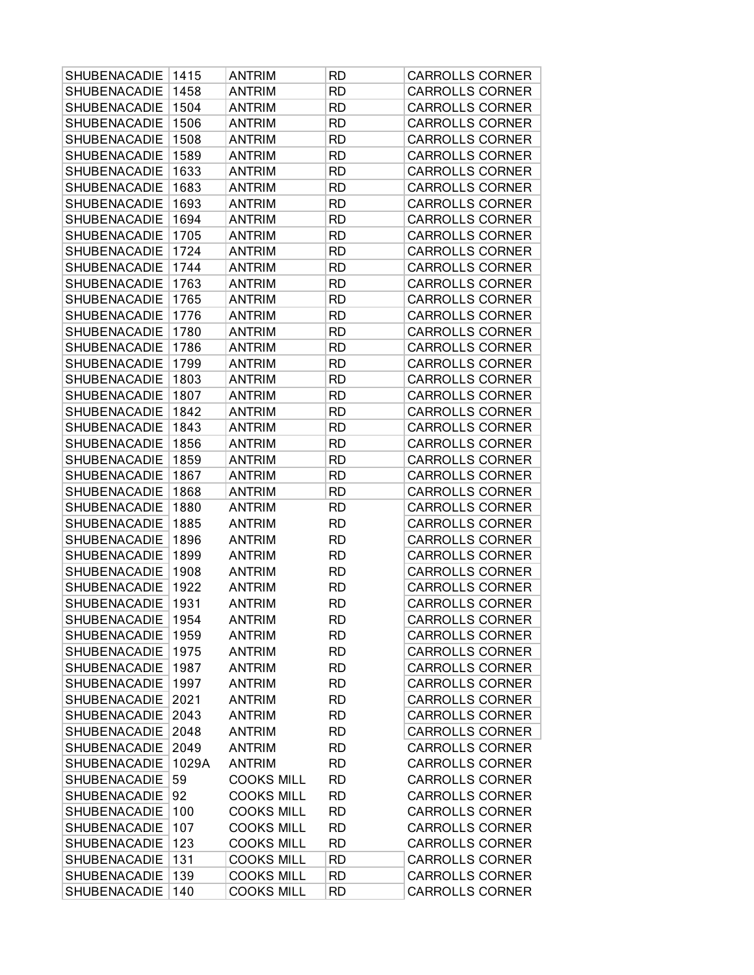| SHUBENACADIE        | 1415  | <b>ANTRIM</b>     | RD        | <b>CARROLLS CORNER</b> |
|---------------------|-------|-------------------|-----------|------------------------|
| SHUBENACADIE        | 1458  | <b>ANTRIM</b>     | <b>RD</b> | <b>CARROLLS CORNER</b> |
| SHUBENACADIE        | 1504  | <b>ANTRIM</b>     | <b>RD</b> | <b>CARROLLS CORNER</b> |
| <b>SHUBENACADIE</b> | 1506  | <b>ANTRIM</b>     | <b>RD</b> | <b>CARROLLS CORNER</b> |
| SHUBENACADIE        | 1508  | <b>ANTRIM</b>     | <b>RD</b> | <b>CARROLLS CORNER</b> |
| SHUBENACADIE        | 1589  | <b>ANTRIM</b>     | <b>RD</b> | <b>CARROLLS CORNER</b> |
| SHUBENACADIE        | 1633  | <b>ANTRIM</b>     | <b>RD</b> | <b>CARROLLS CORNER</b> |
| SHUBENACADIE        | 1683  | <b>ANTRIM</b>     | <b>RD</b> | <b>CARROLLS CORNER</b> |
| SHUBENACADIE        | 1693  | <b>ANTRIM</b>     | <b>RD</b> | <b>CARROLLS CORNER</b> |
| SHUBENACADIE        | 1694  | <b>ANTRIM</b>     | <b>RD</b> | <b>CARROLLS CORNER</b> |
| SHUBENACADIE        | 1705  | <b>ANTRIM</b>     | <b>RD</b> | <b>CARROLLS CORNER</b> |
| SHUBENACADIE        | 1724  | <b>ANTRIM</b>     | <b>RD</b> | <b>CARROLLS CORNER</b> |
| SHUBENACADIE        | 1744  | ANTRIM            | RD        | <b>CARROLLS CORNER</b> |
| SHUBENACADIE        | 1763  | <b>ANTRIM</b>     | <b>RD</b> | <b>CARROLLS CORNER</b> |
| SHUBENACADIE        | 1765  | <b>ANTRIM</b>     | <b>RD</b> | <b>CARROLLS CORNER</b> |
| <b>SHUBENACADIE</b> | 1776  | <b>ANTRIM</b>     | <b>RD</b> | <b>CARROLLS CORNER</b> |
| SHUBENACADIE        | 1780  | <b>ANTRIM</b>     | <b>RD</b> | <b>CARROLLS CORNER</b> |
| SHUBENACADIE        | 1786  | <b>ANTRIM</b>     | <b>RD</b> | <b>CARROLLS CORNER</b> |
| SHUBENACADIE        | 1799  | <b>ANTRIM</b>     | RD        | <b>CARROLLS CORNER</b> |
| SHUBENACADIE        | 1803  | <b>ANTRIM</b>     | <b>RD</b> | <b>CARROLLS CORNER</b> |
| SHUBENACADIE        | 1807  | <b>ANTRIM</b>     | <b>RD</b> | <b>CARROLLS CORNER</b> |
| SHUBENACADIE        | 1842  | <b>ANTRIM</b>     | <b>RD</b> | <b>CARROLLS CORNER</b> |
| SHUBENACADIE        | 1843  | <b>ANTRIM</b>     | <b>RD</b> | <b>CARROLLS CORNER</b> |
| SHUBENACADIE        | 1856  | <b>ANTRIM</b>     | <b>RD</b> | <b>CARROLLS CORNER</b> |
| SHUBENACADIE        | 1859  | <b>ANTRIM</b>     | <b>RD</b> | <b>CARROLLS CORNER</b> |
| SHUBENACADIE        | 1867  | <b>ANTRIM</b>     | <b>RD</b> | <b>CARROLLS CORNER</b> |
| SHUBENACADIE        | 1868  | <b>ANTRIM</b>     | <b>RD</b> | <b>CARROLLS CORNER</b> |
| <b>SHUBENACADIE</b> | 1880  | <b>ANTRIM</b>     | <b>RD</b> | <b>CARROLLS CORNER</b> |
| SHUBENACADIE        | 1885  | <b>ANTRIM</b>     | <b>RD</b> | <b>CARROLLS CORNER</b> |
| SHUBENACADIE        | 1896  | <b>ANTRIM</b>     | <b>RD</b> | <b>CARROLLS CORNER</b> |
| SHUBENACADIE        | 1899  | <b>ANTRIM</b>     | <b>RD</b> | <b>CARROLLS CORNER</b> |
| SHUBENACADIE        | 1908  | <b>ANTRIM</b>     | <b>RD</b> | <b>CARROLLS CORNER</b> |
| SHUBENACADIE        | 1922  | <b>ANTRIM</b>     | <b>RD</b> | <b>CARROLLS CORNER</b> |
| SHUBENACADIE        | 1931  | <b>ANTRIM</b>     | <b>RD</b> | <b>CARROLLS CORNER</b> |
| SHUBENACADIE        | 1954  | <b>ANTRIM</b>     | <b>RD</b> | <b>CARROLLS CORNER</b> |
| <b>SHUBENACADIE</b> | 1959  | <b>ANTRIM</b>     | RD        | <b>CARROLLS CORNER</b> |
| SHUBENACADIE        | 1975  | <b>ANTRIM</b>     | <b>RD</b> | <b>CARROLLS CORNER</b> |
| <b>SHUBENACADIE</b> | 1987  | <b>ANTRIM</b>     | <b>RD</b> | <b>CARROLLS CORNER</b> |
| SHUBENACADIE        | 1997  | <b>ANTRIM</b>     | <b>RD</b> | <b>CARROLLS CORNER</b> |
| <b>SHUBENACADIE</b> | 2021  | <b>ANTRIM</b>     | <b>RD</b> | <b>CARROLLS CORNER</b> |
| <b>SHUBENACADIE</b> | 2043  | <b>ANTRIM</b>     | <b>RD</b> | <b>CARROLLS CORNER</b> |
| SHUBENACADIE        | 2048  | <b>ANTRIM</b>     | <b>RD</b> | <b>CARROLLS CORNER</b> |
| <b>SHUBENACADIE</b> | 2049  | <b>ANTRIM</b>     | <b>RD</b> | <b>CARROLLS CORNER</b> |
| SHUBENACADIE        | 1029A | <b>ANTRIM</b>     | <b>RD</b> | <b>CARROLLS CORNER</b> |
| SHUBENACADIE        | 59    | <b>COOKS MILL</b> | <b>RD</b> | <b>CARROLLS CORNER</b> |
| <b>SHUBENACADIE</b> | 92    | <b>COOKS MILL</b> | <b>RD</b> | <b>CARROLLS CORNER</b> |
| SHUBENACADIE        | 100   | <b>COOKS MILL</b> | <b>RD</b> | <b>CARROLLS CORNER</b> |
| <b>SHUBENACADIE</b> | 107   | <b>COOKS MILL</b> | <b>RD</b> | <b>CARROLLS CORNER</b> |
| SHUBENACADIE        | 123   | <b>COOKS MILL</b> | <b>RD</b> | <b>CARROLLS CORNER</b> |
| SHUBENACADIE        | 131   | <b>COOKS MILL</b> | <b>RD</b> | <b>CARROLLS CORNER</b> |
| SHUBENACADIE        | 139   | <b>COOKS MILL</b> | <b>RD</b> | <b>CARROLLS CORNER</b> |
| <b>SHUBENACADIE</b> | 140   | <b>COOKS MILL</b> | <b>RD</b> | <b>CARROLLS CORNER</b> |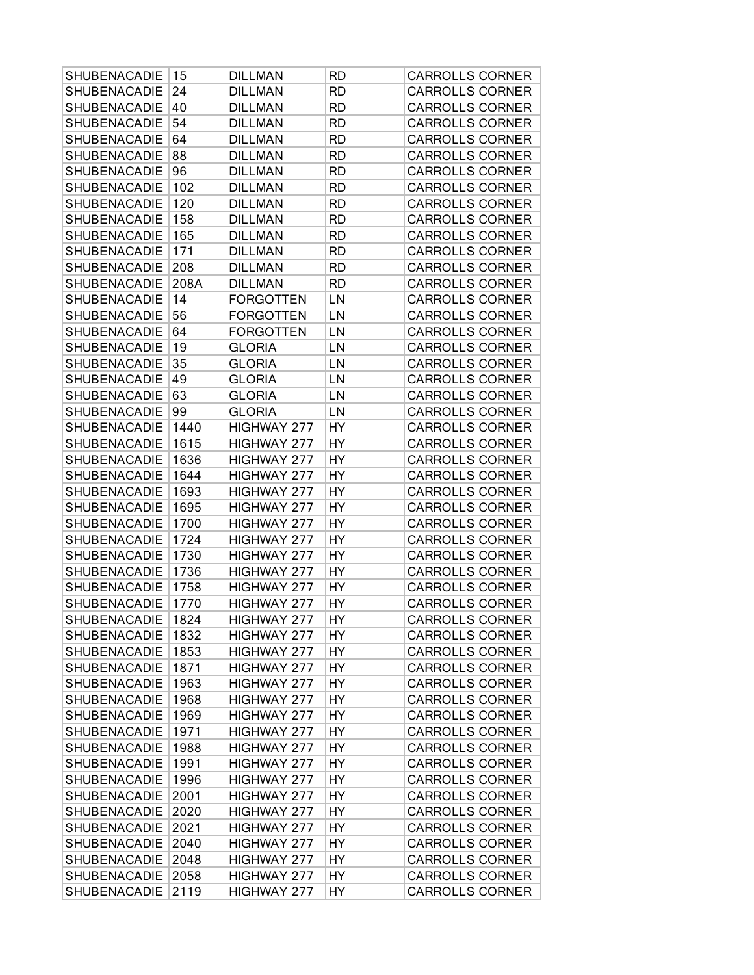| SHUBENACADIE        | 15   | <b>DILLMAN</b>     | RD        | <b>CARROLLS CORNER</b> |
|---------------------|------|--------------------|-----------|------------------------|
| <b>SHUBENACADIE</b> | 24   | <b>DILLMAN</b>     | <b>RD</b> | <b>CARROLLS CORNER</b> |
| SHUBENACADIE        | 40   | <b>DILLMAN</b>     | <b>RD</b> | <b>CARROLLS CORNER</b> |
| SHUBENACADIE        | 54   | <b>DILLMAN</b>     | <b>RD</b> | <b>CARROLLS CORNER</b> |
| SHUBENACADIE        | 64   | <b>DILLMAN</b>     | RD        | <b>CARROLLS CORNER</b> |
| SHUBENACADIE        | 88   | <b>DILLMAN</b>     | RD        | <b>CARROLLS CORNER</b> |
| SHUBENACADIE        | 96   | <b>DILLMAN</b>     | RD        | <b>CARROLLS CORNER</b> |
| SHUBENACADIE        | 102  | <b>DILLMAN</b>     | <b>RD</b> | <b>CARROLLS CORNER</b> |
| SHUBENACADIE        | 120  | <b>DILLMAN</b>     | <b>RD</b> | <b>CARROLLS CORNER</b> |
| SHUBENACADIE        | 158  | <b>DILLMAN</b>     | <b>RD</b> | <b>CARROLLS CORNER</b> |
| <b>SHUBENACADIE</b> | 165  | <b>DILLMAN</b>     | RD        | <b>CARROLLS CORNER</b> |
| SHUBENACADIE        | 171  | <b>DILLMAN</b>     | RD        | <b>CARROLLS CORNER</b> |
| SHUBENACADIE        | 208  | <b>DILLMAN</b>     | RD        | <b>CARROLLS CORNER</b> |
| <b>SHUBENACADIE</b> | 208A | <b>DILLMAN</b>     | <b>RD</b> | <b>CARROLLS CORNER</b> |
| SHUBENACADIE        | 14   | <b>FORGOTTEN</b>   | LN        | <b>CARROLLS CORNER</b> |
| SHUBENACADIE        | 56   | <b>FORGOTTEN</b>   | LN        | <b>CARROLLS CORNER</b> |
| SHUBENACADIE        | 64   | <b>FORGOTTEN</b>   | LN        | <b>CARROLLS CORNER</b> |
| SHUBENACADIE        | 19   | <b>GLORIA</b>      | LN        | <b>CARROLLS CORNER</b> |
| SHUBENACADIE        | 35   | <b>GLORIA</b>      | LN        | <b>CARROLLS CORNER</b> |
| SHUBENACADIE        | 49   | <b>GLORIA</b>      | LN        | <b>CARROLLS CORNER</b> |
| SHUBENACADIE        | 63   | <b>GLORIA</b>      | LN        | <b>CARROLLS CORNER</b> |
| SHUBENACADIE        | 99   | <b>GLORIA</b>      | LN        | <b>CARROLLS CORNER</b> |
| <b>SHUBENACADIE</b> | 1440 | <b>HIGHWAY 277</b> | <b>HY</b> | <b>CARROLLS CORNER</b> |
| SHUBENACADIE        | 1615 | <b>HIGHWAY 277</b> | HY        | <b>CARROLLS CORNER</b> |
| SHUBENACADIE        | 1636 | HIGHWAY 277        | HY        | <b>CARROLLS CORNER</b> |
| <b>SHUBENACADIE</b> | 1644 | HIGHWAY 277        | HY        | <b>CARROLLS CORNER</b> |
| SHUBENACADIE        | 1693 | HIGHWAY 277        | <b>HY</b> | <b>CARROLLS CORNER</b> |
| <b>SHUBENACADIE</b> | 1695 | HIGHWAY 277        | HY        | <b>CARROLLS CORNER</b> |
| SHUBENACADIE        | 1700 | HIGHWAY 277        | HY        | <b>CARROLLS CORNER</b> |
| SHUBENACADIE        | 1724 | <b>HIGHWAY 277</b> | HY        | <b>CARROLLS CORNER</b> |
| SHUBENACADIE        | 1730 | HIGHWAY 277        | HY        | <b>CARROLLS CORNER</b> |
| SHUBENACADIE        | 1736 | HIGHWAY 277        | HY        | <b>CARROLLS CORNER</b> |
| SHUBENACADIE        | 1758 | HIGHWAY 277        | HY        | <b>CARROLLS CORNER</b> |
| SHUBENACADIE        | 1770 | <b>HIGHWAY 277</b> | HY        | <b>CARROLLS CORNER</b> |
| SHUBENACADIE        | 1824 | HIGHWAY 277        | HY        | <b>CARROLLS CORNER</b> |
| SHUBENACADIE        | 1832 | HIGHWAY 277        | HY        | <b>CARROLLS CORNER</b> |
| SHUBENACADIE        | 1853 | HIGHWAY 277        | HY        | <b>CARROLLS CORNER</b> |
| <b>SHUBENACADIE</b> | 1871 | HIGHWAY 277        | HY        | <b>CARROLLS CORNER</b> |
| SHUBENACADIE        | 1963 | HIGHWAY 277        | HY        | <b>CARROLLS CORNER</b> |
| <b>SHUBENACADIE</b> | 1968 | HIGHWAY 277        | HY        | <b>CARROLLS CORNER</b> |
| <b>SHUBENACADIE</b> | 1969 | HIGHWAY 277        | HY        | <b>CARROLLS CORNER</b> |
| <b>SHUBENACADIE</b> | 1971 | HIGHWAY 277        | HY        | <b>CARROLLS CORNER</b> |
| <b>SHUBENACADIE</b> | 1988 | HIGHWAY 277        | HY        | <b>CARROLLS CORNER</b> |
| <b>SHUBENACADIE</b> | 1991 | HIGHWAY 277        | HY        | <b>CARROLLS CORNER</b> |
| <b>SHUBENACADIE</b> | 1996 | HIGHWAY 277        | HY        | <b>CARROLLS CORNER</b> |
| <b>SHUBENACADIE</b> | 2001 | HIGHWAY 277        | HY        | <b>CARROLLS CORNER</b> |
| <b>SHUBENACADIE</b> | 2020 | HIGHWAY 277        | HY        | <b>CARROLLS CORNER</b> |
| <b>SHUBENACADIE</b> | 2021 | HIGHWAY 277        | HY        | <b>CARROLLS CORNER</b> |
| SHUBENACADIE        | 2040 | HIGHWAY 277        | HY        | <b>CARROLLS CORNER</b> |
| <b>SHUBENACADIE</b> | 2048 | HIGHWAY 277        | HY        | <b>CARROLLS CORNER</b> |
| SHUBENACADIE        | 2058 | HIGHWAY 277        | HY        | <b>CARROLLS CORNER</b> |
| SHUBENACADIE        | 2119 | HIGHWAY 277        | HY        | <b>CARROLLS CORNER</b> |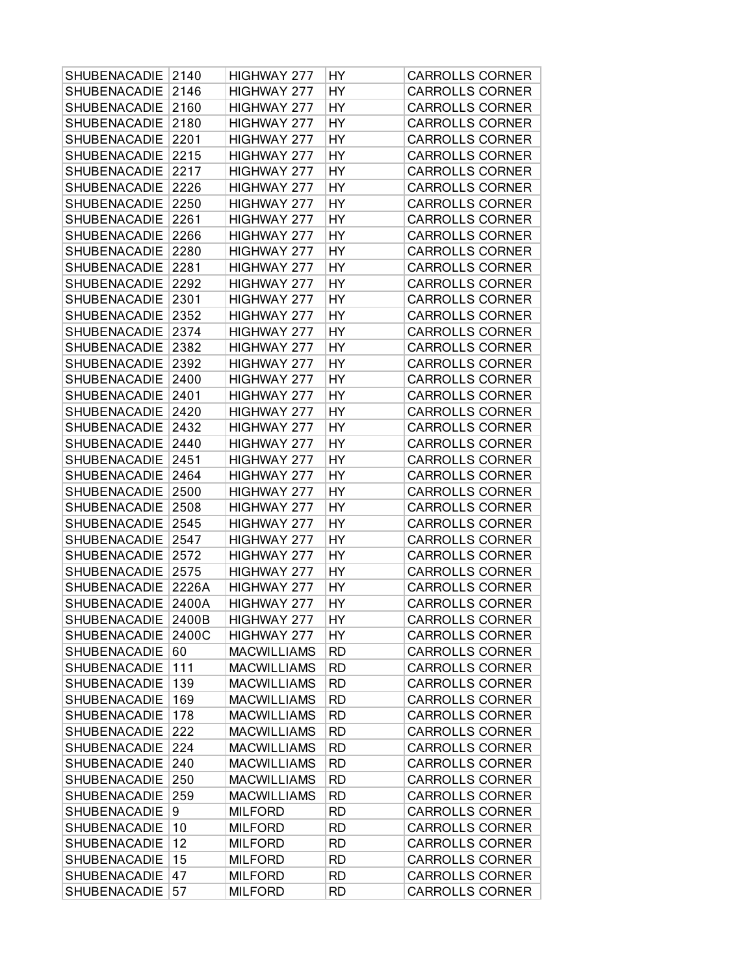| <b>SHUBENACADIE</b> | 2140  | HIGHWAY 277        | HY        | <b>CARROLLS CORNER</b> |
|---------------------|-------|--------------------|-----------|------------------------|
| SHUBENACADIE        | 2146  | HIGHWAY 277        | HY        | <b>CARROLLS CORNER</b> |
| SHUBENACADIE        | 2160  | HIGHWAY 277        | <b>HY</b> | <b>CARROLLS CORNER</b> |
| <b>SHUBENACADIE</b> | 2180  | HIGHWAY 277        | HY        | <b>CARROLLS CORNER</b> |
| <b>SHUBENACADIE</b> | 2201  | HIGHWAY 277        | HY        | <b>CARROLLS CORNER</b> |
| SHUBENACADIE        | 2215  | HIGHWAY 277        | HY        | <b>CARROLLS CORNER</b> |
| <b>SHUBENACADIE</b> | 2217  | HIGHWAY 277        | HY        | <b>CARROLLS CORNER</b> |
| SHUBENACADIE        | 2226  | HIGHWAY 277        | HY        | <b>CARROLLS CORNER</b> |
| SHUBENACADIE        | 2250  | HIGHWAY 277        | HY        | <b>CARROLLS CORNER</b> |
| <b>SHUBENACADIE</b> | 2261  | HIGHWAY 277        | HY        | <b>CARROLLS CORNER</b> |
| <b>SHUBENACADIE</b> | 2266  | HIGHWAY 277        | HY        | <b>CARROLLS CORNER</b> |
| SHUBENACADIE        | 2280  | HIGHWAY 277        | HY        | <b>CARROLLS CORNER</b> |
| <b>SHUBENACADIE</b> | 2281  | HIGHWAY 277        | HY        | <b>CARROLLS CORNER</b> |
| SHUBENACADIE        | 2292  | HIGHWAY 277        | HY        | <b>CARROLLS CORNER</b> |
| SHUBENACADIE        | 2301  | HIGHWAY 277        | HY        | <b>CARROLLS CORNER</b> |
| SHUBENACADIE        | 2352  | HIGHWAY 277        | HY        | <b>CARROLLS CORNER</b> |
| <b>SHUBENACADIE</b> | 2374  | HIGHWAY 277        | HY        | <b>CARROLLS CORNER</b> |
| <b>SHUBENACADIE</b> | 2382  | HIGHWAY 277        | HY        | <b>CARROLLS CORNER</b> |
| <b>SHUBENACADIE</b> | 2392  | HIGHWAY 277        | HY        | <b>CARROLLS CORNER</b> |
| SHUBENACADIE        | 2400  | HIGHWAY 277        | HY        | <b>CARROLLS CORNER</b> |
| SHUBENACADIE        | 2401  | HIGHWAY 277        | HY        | <b>CARROLLS CORNER</b> |
| SHUBENACADIE        | 2420  | HIGHWAY 277        | HY        | <b>CARROLLS CORNER</b> |
| <b>SHUBENACADIE</b> | 2432  | HIGHWAY 277        | <b>HY</b> | <b>CARROLLS CORNER</b> |
| SHUBENACADIE        | 2440  | HIGHWAY 277        | HY        | <b>CARROLLS CORNER</b> |
| <b>SHUBENACADIE</b> | 2451  | HIGHWAY 277        | HY        | <b>CARROLLS CORNER</b> |
| SHUBENACADIE        | 2464  | HIGHWAY 277        | HY        | <b>CARROLLS CORNER</b> |
| SHUBENACADIE        | 2500  | HIGHWAY 277        | HY        | <b>CARROLLS CORNER</b> |
| <b>SHUBENACADIE</b> | 2508  | HIGHWAY 277        | HY        | <b>CARROLLS CORNER</b> |
| <b>SHUBENACADIE</b> | 2545  | HIGHWAY 277        | HY        | <b>CARROLLS CORNER</b> |
| SHUBENACADIE        | 2547  | HIGHWAY 277        | HY        | <b>CARROLLS CORNER</b> |
| SHUBENACADIE        | 2572  | HIGHWAY 277        | HY        | <b>CARROLLS CORNER</b> |
| SHUBENACADIE        | 2575  | HIGHWAY 277        | HY        | <b>CARROLLS CORNER</b> |
| <b>SHUBENACADIE</b> | 2226A | HIGHWAY 277        | <b>HY</b> | <b>CARROLLS CORNER</b> |
| SHUBENACADIE        | 2400A | HIGHWAY 277        | HY        | <b>CARROLLS CORNER</b> |
| SHUBENACADIE 2400B  |       | HIGHWAY 277        | HY        | <b>CARROLLS CORNER</b> |
| <b>SHUBENACADIE</b> | 2400C | HIGHWAY 277        | HY        | <b>CARROLLS CORNER</b> |
| <b>SHUBENACADIE</b> | 60    | <b>MACWILLIAMS</b> | <b>RD</b> | <b>CARROLLS CORNER</b> |
| SHUBENACADIE        | 111   | <b>MACWILLIAMS</b> | <b>RD</b> | <b>CARROLLS CORNER</b> |
| SHUBENACADIE        | 139   | <b>MACWILLIAMS</b> | <b>RD</b> | <b>CARROLLS CORNER</b> |
| <b>SHUBENACADIE</b> | 169   | <b>MACWILLIAMS</b> | <b>RD</b> | <b>CARROLLS CORNER</b> |
| <b>SHUBENACADIE</b> | 178   | <b>MACWILLIAMS</b> | <b>RD</b> | <b>CARROLLS CORNER</b> |
| <b>SHUBENACADIE</b> | 222   | <b>MACWILLIAMS</b> | <b>RD</b> | <b>CARROLLS CORNER</b> |
| SHUBENACADIE        | 224   | <b>MACWILLIAMS</b> | <b>RD</b> | <b>CARROLLS CORNER</b> |
| <b>SHUBENACADIE</b> | 240   | <b>MACWILLIAMS</b> | <b>RD</b> | <b>CARROLLS CORNER</b> |
| SHUBENACADIE        | 250   | <b>MACWILLIAMS</b> | <b>RD</b> | <b>CARROLLS CORNER</b> |
| <b>SHUBENACADIE</b> | 259   | <b>MACWILLIAMS</b> | <b>RD</b> | <b>CARROLLS CORNER</b> |
| <b>SHUBENACADIE</b> | 9     | <b>MILFORD</b>     | <b>RD</b> | <b>CARROLLS CORNER</b> |
| <b>SHUBENACADIE</b> | 10    | <b>MILFORD</b>     | <b>RD</b> | <b>CARROLLS CORNER</b> |
| <b>SHUBENACADIE</b> | 12    | <b>MILFORD</b>     | <b>RD</b> | <b>CARROLLS CORNER</b> |
| <b>SHUBENACADIE</b> | 15    | <b>MILFORD</b>     | <b>RD</b> | <b>CARROLLS CORNER</b> |
| SHUBENACADIE        | 47    | <b>MILFORD</b>     | <b>RD</b> | <b>CARROLLS CORNER</b> |
| SHUBENACADIE        | 57    | <b>MILFORD</b>     | <b>RD</b> | <b>CARROLLS CORNER</b> |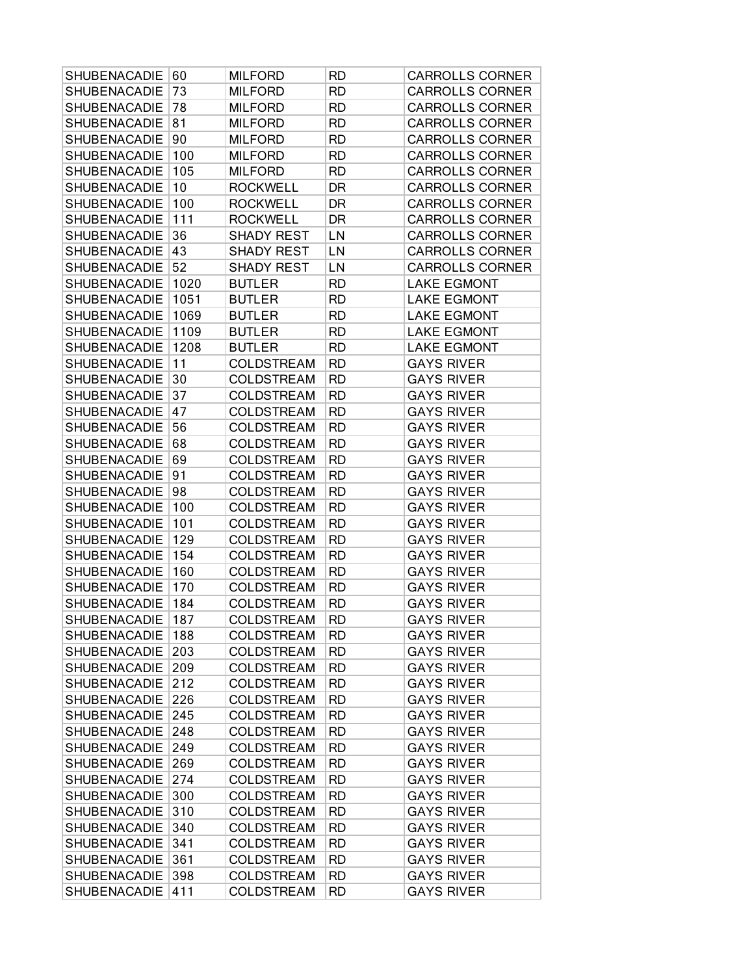| SHUBENACADIE        | 60   | <b>MILFORD</b>    | RD        | <b>CARROLLS CORNER</b> |
|---------------------|------|-------------------|-----------|------------------------|
| <b>SHUBENACADIE</b> | 73   | <b>MILFORD</b>    | <b>RD</b> | <b>CARROLLS CORNER</b> |
| SHUBENACADIE        | 78   | <b>MILFORD</b>    | <b>RD</b> | <b>CARROLLS CORNER</b> |
| <b>SHUBENACADIE</b> | 81   | <b>MILFORD</b>    | <b>RD</b> | <b>CARROLLS CORNER</b> |
| <b>SHUBENACADIE</b> | 90   | <b>MILFORD</b>    | <b>RD</b> | <b>CARROLLS CORNER</b> |
| SHUBENACADIE        | 100  | <b>MILFORD</b>    | RD        | <b>CARROLLS CORNER</b> |
| SHUBENACADIE        | 105  | <b>MILFORD</b>    | RD        | <b>CARROLLS CORNER</b> |
| SHUBENACADIE        | 10   | <b>ROCKWELL</b>   | DR        | <b>CARROLLS CORNER</b> |
| SHUBENACADIE        | 100  | <b>ROCKWELL</b>   | DR        | <b>CARROLLS CORNER</b> |
| <b>SHUBENACADIE</b> | 111  | <b>ROCKWELL</b>   | DR        | <b>CARROLLS CORNER</b> |
| <b>SHUBENACADIE</b> | 36   | <b>SHADY REST</b> | LN        | <b>CARROLLS CORNER</b> |
| SHUBENACADIE        | 43   | <b>SHADY REST</b> | LN        | <b>CARROLLS CORNER</b> |
| SHUBENACADIE        | 52   | <b>SHADY REST</b> | LN        | <b>CARROLLS CORNER</b> |
| SHUBENACADIE        | 1020 | <b>BUTLER</b>     | <b>RD</b> | <b>LAKE EGMONT</b>     |
| SHUBENACADIE        | 1051 | <b>BUTLER</b>     | <b>RD</b> | <b>LAKE EGMONT</b>     |
| <b>SHUBENACADIE</b> | 1069 | <b>BUTLER</b>     | <b>RD</b> | <b>LAKE EGMONT</b>     |
| <b>SHUBENACADIE</b> | 1109 | <b>BUTLER</b>     | <b>RD</b> | <b>LAKE EGMONT</b>     |
| SHUBENACADIE        | 1208 | <b>BUTLER</b>     | RD        | <b>LAKE EGMONT</b>     |
| SHUBENACADIE        | 11   | <b>COLDSTREAM</b> | RD        | <b>GAYS RIVER</b>      |
| SHUBENACADIE        | 30   | <b>COLDSTREAM</b> | <b>RD</b> | <b>GAYS RIVER</b>      |
| SHUBENACADIE        | 37   | <b>COLDSTREAM</b> | <b>RD</b> | <b>GAYS RIVER</b>      |
| SHUBENACADIE        | 47   | <b>COLDSTREAM</b> | <b>RD</b> | <b>GAYS RIVER</b>      |
| <b>SHUBENACADIE</b> | 56   | <b>COLDSTREAM</b> | <b>RD</b> | <b>GAYS RIVER</b>      |
| SHUBENACADIE        | 68   | <b>COLDSTREAM</b> | <b>RD</b> | <b>GAYS RIVER</b>      |
| SHUBENACADIE        | 69   | <b>COLDSTREAM</b> | <b>RD</b> | <b>GAYS RIVER</b>      |
| SHUBENACADIE        | 91   | <b>COLDSTREAM</b> | <b>RD</b> | <b>GAYS RIVER</b>      |
| SHUBENACADIE        | 98   | <b>COLDSTREAM</b> | <b>RD</b> | <b>GAYS RIVER</b>      |
| <b>SHUBENACADIE</b> | 100  | <b>COLDSTREAM</b> | <b>RD</b> | <b>GAYS RIVER</b>      |
| <b>SHUBENACADIE</b> | 101  | <b>COLDSTREAM</b> | <b>RD</b> | <b>GAYS RIVER</b>      |
| SHUBENACADIE        | 129  | <b>COLDSTREAM</b> | <b>RD</b> | <b>GAYS RIVER</b>      |
| SHUBENACADIE        | 154  | <b>COLDSTREAM</b> | RD        | <b>GAYS RIVER</b>      |
| SHUBENACADIE        | 160  | <b>COLDSTREAM</b> | <b>RD</b> | <b>GAYS RIVER</b>      |
| SHUBENACADIE        | 170  | <b>COLDSTREAM</b> | <b>RD</b> | <b>GAYS RIVER</b>      |
| SHUBENACADIE        | 184  | <b>COLDSTREAM</b> | RD        | <b>GAYS RIVER</b>      |
| SHUBENACADIE        | 187  | COLDSTREAM        | <b>RD</b> | <b>GAYS RIVER</b>      |
| SHUBENACADIE        | 188  | <b>COLDSTREAM</b> | RD        | <b>GAYS RIVER</b>      |
| SHUBENACADIE        | 203  | <b>COLDSTREAM</b> | RD        | <b>GAYS RIVER</b>      |
| <b>SHUBENACADIE</b> | 209  | <b>COLDSTREAM</b> | <b>RD</b> | <b>GAYS RIVER</b>      |
| SHUBENACADIE        | 212  | <b>COLDSTREAM</b> | <b>RD</b> | <b>GAYS RIVER</b>      |
| <b>SHUBENACADIE</b> | 226  | <b>COLDSTREAM</b> | RD        | <b>GAYS RIVER</b>      |
| <b>SHUBENACADIE</b> | 245  | <b>COLDSTREAM</b> | <b>RD</b> | <b>GAYS RIVER</b>      |
| <b>SHUBENACADIE</b> | 248  | <b>COLDSTREAM</b> | <b>RD</b> | <b>GAYS RIVER</b>      |
| <b>SHUBENACADIE</b> | 249  | <b>COLDSTREAM</b> | RD        | <b>GAYS RIVER</b>      |
| <b>SHUBENACADIE</b> | 269  | <b>COLDSTREAM</b> | <b>RD</b> | <b>GAYS RIVER</b>      |
| <b>SHUBENACADIE</b> | 274  | <b>COLDSTREAM</b> | <b>RD</b> | <b>GAYS RIVER</b>      |
| <b>SHUBENACADIE</b> | 300  | <b>COLDSTREAM</b> | RD        | <b>GAYS RIVER</b>      |
| <b>SHUBENACADIE</b> | 310  | <b>COLDSTREAM</b> | <b>RD</b> | <b>GAYS RIVER</b>      |
| <b>SHUBENACADIE</b> | 340  | <b>COLDSTREAM</b> | <b>RD</b> | <b>GAYS RIVER</b>      |
| SHUBENACADIE        | 341  | <b>COLDSTREAM</b> | RD        | <b>GAYS RIVER</b>      |
| <b>SHUBENACADIE</b> | 361  | <b>COLDSTREAM</b> | <b>RD</b> | <b>GAYS RIVER</b>      |
| SHUBENACADIE        | 398  | <b>COLDSTREAM</b> | <b>RD</b> | <b>GAYS RIVER</b>      |
| SHUBENACADIE        | 411  | <b>COLDSTREAM</b> | RD        | <b>GAYS RIVER</b>      |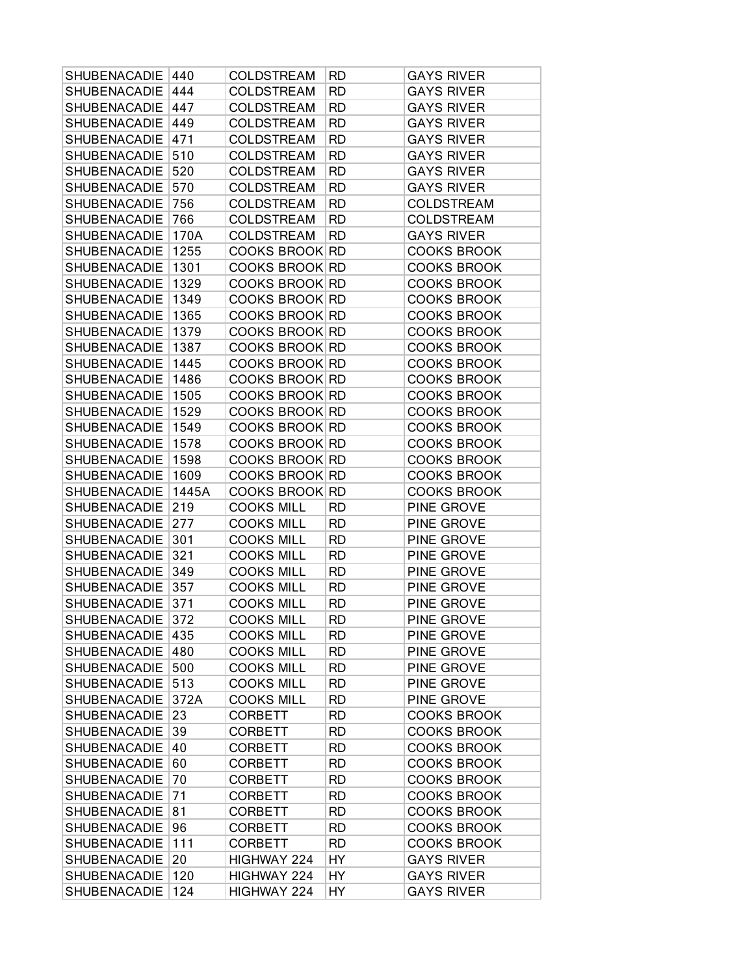| SHUBENACADIE        | 440   | <b>COLDSTREAM</b>     | RD        | <b>GAYS RIVER</b>  |
|---------------------|-------|-----------------------|-----------|--------------------|
| SHUBENACADIE        | 444   | <b>COLDSTREAM</b>     | <b>RD</b> | <b>GAYS RIVER</b>  |
| SHUBENACADIE        | 447   | <b>COLDSTREAM</b>     | <b>RD</b> | <b>GAYS RIVER</b>  |
| <b>SHUBENACADIE</b> | 449   | <b>COLDSTREAM</b>     | <b>RD</b> | <b>GAYS RIVER</b>  |
| <b>SHUBENACADIE</b> | 471   | <b>COLDSTREAM</b>     | <b>RD</b> | <b>GAYS RIVER</b>  |
| <b>SHUBENACADIE</b> | 510   | <b>COLDSTREAM</b>     | <b>RD</b> | <b>GAYS RIVER</b>  |
| <b>SHUBENACADIE</b> | 520   | <b>COLDSTREAM</b>     | <b>RD</b> | <b>GAYS RIVER</b>  |
| SHUBENACADIE        | 570   | <b>COLDSTREAM</b>     | <b>RD</b> | <b>GAYS RIVER</b>  |
| SHUBENACADIE        | 756   | <b>COLDSTREAM</b>     | <b>RD</b> | <b>COLDSTREAM</b>  |
| <b>SHUBENACADIE</b> | 766   | <b>COLDSTREAM</b>     | <b>RD</b> | <b>COLDSTREAM</b>  |
| <b>SHUBENACADIE</b> | 170A  | <b>COLDSTREAM</b>     | RD        | <b>GAYS RIVER</b>  |
| <b>SHUBENACADIE</b> | 1255  | <b>COOKS BROOK RD</b> |           | <b>COOKS BROOK</b> |
| <b>SHUBENACADIE</b> | 1301  | COOKS BROOK RD        |           | <b>COOKS BROOK</b> |
| <b>SHUBENACADIE</b> | 1329  | COOKS BROOK RD        |           | <b>COOKS BROOK</b> |
| SHUBENACADIE        | 1349  | COOKS BROOK RD        |           | <b>COOKS BROOK</b> |
| <b>SHUBENACADIE</b> | 1365  | COOKS BROOK RD        |           | <b>COOKS BROOK</b> |
| <b>SHUBENACADIE</b> | 1379  | COOKS BROOK RD        |           | <b>COOKS BROOK</b> |
| <b>SHUBENACADIE</b> | 1387  | <b>COOKS BROOK RD</b> |           | <b>COOKS BROOK</b> |
| <b>SHUBENACADIE</b> | 1445  | COOKS BROOK RD        |           | <b>COOKS BROOK</b> |
| SHUBENACADIE        | 1486  | <b>COOKS BROOK RD</b> |           | <b>COOKS BROOK</b> |
| SHUBENACADIE        | 1505  | COOKS BROOK RD        |           | <b>COOKS BROOK</b> |
| <b>SHUBENACADIE</b> | 1529  | COOKS BROOK RD        |           | <b>COOKS BROOK</b> |
| <b>SHUBENACADIE</b> | 1549  | COOKS BROOK RD        |           | <b>COOKS BROOK</b> |
| <b>SHUBENACADIE</b> | 1578  | <b>COOKS BROOK RD</b> |           | <b>COOKS BROOK</b> |
| <b>SHUBENACADIE</b> | 1598  | COOKS BROOK RD        |           | <b>COOKS BROOK</b> |
| <b>SHUBENACADIE</b> | 1609  | COOKS BROOK RD        |           | <b>COOKS BROOK</b> |
| <b>SHUBENACADIE</b> | 1445A | <b>COOKS BROOK RD</b> |           | <b>COOKS BROOK</b> |
| <b>SHUBENACADIE</b> | 219   | <b>COOKS MILL</b>     | <b>RD</b> | PINE GROVE         |
| <b>SHUBENACADIE</b> | 277   | <b>COOKS MILL</b>     | <b>RD</b> | PINE GROVE         |
| <b>SHUBENACADIE</b> | 301   | <b>COOKS MILL</b>     | <b>RD</b> | PINE GROVE         |
| <b>SHUBENACADIE</b> | 321   | <b>COOKS MILL</b>     | <b>RD</b> | PINE GROVE         |
| SHUBENACADIE        | 349   | <b>COOKS MILL</b>     | <b>RD</b> | PINE GROVE         |
|                     |       |                       |           |                    |
| SHUBENACADIE        | 357   | <b>COOKS MILL</b>     | <b>RD</b> | PINE GROVE         |
| SHUBENACADIE        | 371   | <b>COOKS MILL</b>     | <b>RD</b> | PINE GROVE         |
| SHUBENACADIE        | 372   | <b>COOKS MILL</b>     | <b>RD</b> | PINE GROVE         |
| <b>SHUBENACADIE</b> | 435   | <b>COOKS MILL</b>     | <b>RD</b> | PINE GROVE         |
| SHUBENACADIE        | 480   | <b>COOKS MILL</b>     | RD.       | PINE GROVE         |
| <b>SHUBENACADIE</b> | 500   | <b>COOKS MILL</b>     | <b>RD</b> | PINE GROVE         |
| <b>SHUBENACADIE</b> | 513   | <b>COOKS MILL</b>     | <b>RD</b> | PINE GROVE         |
| <b>SHUBENACADIE</b> | 372A  | <b>COOKS MILL</b>     | <b>RD</b> | PINE GROVE         |
| <b>SHUBENACADIE</b> | 23    | <b>CORBETT</b>        | RD        | <b>COOKS BROOK</b> |
| <b>SHUBENACADIE</b> | 39    | <b>CORBETT</b>        | <b>RD</b> | <b>COOKS BROOK</b> |
| <b>SHUBENACADIE</b> | 40    | <b>CORBETT</b>        | <b>RD</b> | <b>COOKS BROOK</b> |
| <b>SHUBENACADIE</b> | 60    | <b>CORBETT</b>        | <b>RD</b> | <b>COOKS BROOK</b> |
| <b>SHUBENACADIE</b> | 70    | <b>CORBETT</b>        | <b>RD</b> | <b>COOKS BROOK</b> |
| <b>SHUBENACADIE</b> | 71    | <b>CORBETT</b>        | <b>RD</b> | <b>COOKS BROOK</b> |
| <b>SHUBENACADIE</b> | 81    | <b>CORBETT</b>        | RD        | <b>COOKS BROOK</b> |
| <b>SHUBENACADIE</b> | 96    | <b>CORBETT</b>        | <b>RD</b> | <b>COOKS BROOK</b> |
| <b>SHUBENACADIE</b> | 111   | <b>CORBETT</b>        | <b>RD</b> | <b>COOKS BROOK</b> |
| <b>SHUBENACADIE</b> | 20    | HIGHWAY 224           | HY        | <b>GAYS RIVER</b>  |
| <b>SHUBENACADIE</b> | 120   | HIGHWAY 224           | HY        | <b>GAYS RIVER</b>  |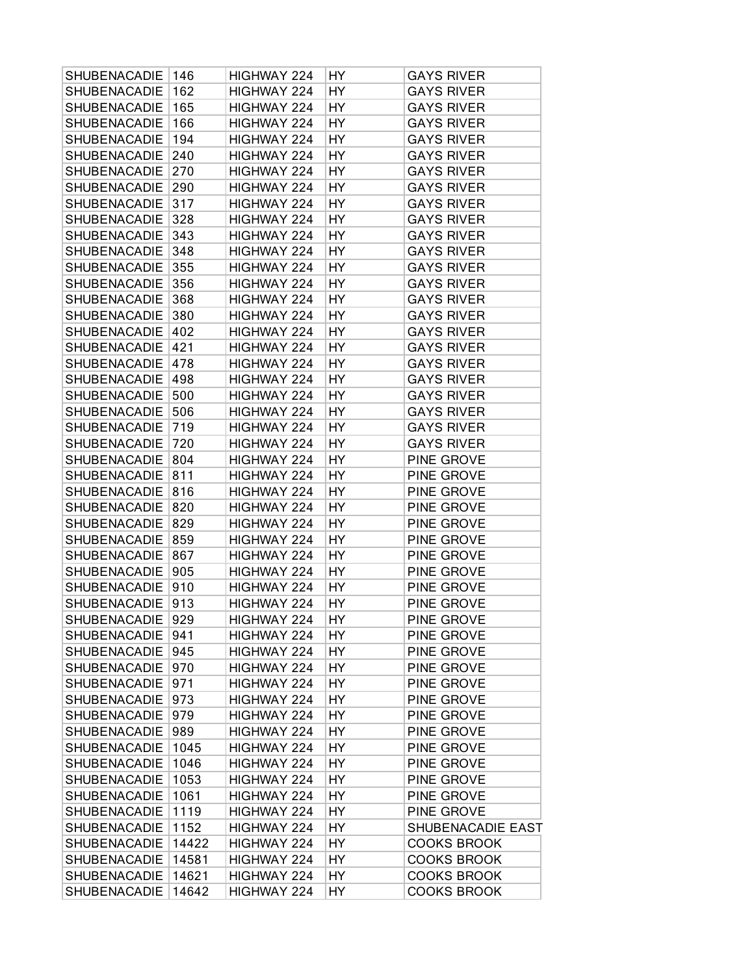| SHUBENACADIE        | 146   | HIGHWAY 224 | HY | <b>GAYS RIVER</b>  |
|---------------------|-------|-------------|----|--------------------|
| <b>SHUBENACADIE</b> | 162   | HIGHWAY 224 | HY | <b>GAYS RIVER</b>  |
| SHUBENACADIE        | 165   | HIGHWAY 224 | HY | <b>GAYS RIVER</b>  |
| <b>SHUBENACADIE</b> | 166   | HIGHWAY 224 | HY | <b>GAYS RIVER</b>  |
| <b>SHUBENACADIE</b> | 194   | HIGHWAY 224 | HY | <b>GAYS RIVER</b>  |
| <b>SHUBENACADIE</b> | 240   | HIGHWAY 224 | HY | <b>GAYS RIVER</b>  |
| <b>SHUBENACADIE</b> | 270   | HIGHWAY 224 | HY | <b>GAYS RIVER</b>  |
| SHUBENACADIE        | 290   | HIGHWAY 224 | HY | <b>GAYS RIVER</b>  |
| SHUBENACADIE        | 317   | HIGHWAY 224 | HY | <b>GAYS RIVER</b>  |
| <b>SHUBENACADIE</b> | 328   | HIGHWAY 224 | HY | <b>GAYS RIVER</b>  |
| <b>SHUBENACADIE</b> | 343   | HIGHWAY 224 | HY | <b>GAYS RIVER</b>  |
| SHUBENACADIE        | 348   | HIGHWAY 224 | HY | <b>GAYS RIVER</b>  |
| <b>SHUBENACADIE</b> | 355   | HIGHWAY 224 | HY | <b>GAYS RIVER</b>  |
| <b>SHUBENACADIE</b> | 356   | HIGHWAY 224 | HY | <b>GAYS RIVER</b>  |
| SHUBENACADIE        | 368   | HIGHWAY 224 | HY | <b>GAYS RIVER</b>  |
| SHUBENACADIE        | 380   | HIGHWAY 224 | HY | <b>GAYS RIVER</b>  |
| <b>SHUBENACADIE</b> | 402   | HIGHWAY 224 | HY | <b>GAYS RIVER</b>  |
| <b>SHUBENACADIE</b> | 421   | HIGHWAY 224 | HY | <b>GAYS RIVER</b>  |
| <b>SHUBENACADIE</b> | 478   | HIGHWAY 224 | HY | <b>GAYS RIVER</b>  |
| SHUBENACADIE        | 498   | HIGHWAY 224 | HY | <b>GAYS RIVER</b>  |
| SHUBENACADIE        | 500   | HIGHWAY 224 | HY | <b>GAYS RIVER</b>  |
| <b>SHUBENACADIE</b> | 506   | HIGHWAY 224 | HY | <b>GAYS RIVER</b>  |
| <b>SHUBENACADIE</b> | 719   | HIGHWAY 224 | HY | <b>GAYS RIVER</b>  |
| <b>SHUBENACADIE</b> | 720   | HIGHWAY 224 | HY | <b>GAYS RIVER</b>  |
| <b>SHUBENACADIE</b> | 804   | HIGHWAY 224 | HY | PINE GROVE         |
| <b>SHUBENACADIE</b> | 811   | HIGHWAY 224 | HY | PINE GROVE         |
| <b>SHUBENACADIE</b> | 816   | HIGHWAY 224 | HY | PINE GROVE         |
| SHUBENACADIE        | 820   | HIGHWAY 224 | HY | PINE GROVE         |
| <b>SHUBENACADIE</b> | 829   | HIGHWAY 224 | HY | PINE GROVE         |
| <b>SHUBENACADIE</b> | 859   | HIGHWAY 224 | HY | PINE GROVE         |
| <b>SHUBENACADIE</b> | 867   | HIGHWAY 224 | HY | PINE GROVE         |
| SHUBENACADIE        | 905   | HIGHWAY 224 | HY | PINE GROVE         |
| <b>SHUBENACADIE</b> | 910   | HIGHWAY 224 | HY | PINE GROVE         |
| SHUBENACADIE        | 913   | HIGHWAY 224 | HY | PINE GROVE         |
| SHUBENACADIE 929    |       | HIGHWAY 224 | HY | PINE GROVE         |
| <b>SHUBENACADIE</b> | 941   | HIGHWAY 224 | HY | PINE GROVE         |
| SHUBENACADIE        | 945   | HIGHWAY 224 | HY | PINE GROVE         |
| <b>SHUBENACADIE</b> | 970   | HIGHWAY 224 | HY | PINE GROVE         |
| <b>SHUBENACADIE</b> | 971   | HIGHWAY 224 | HY | PINE GROVE         |
| <b>SHUBENACADIE</b> | 973   | HIGHWAY 224 | HY | PINE GROVE         |
| <b>SHUBENACADIE</b> | 979   | HIGHWAY 224 | HY | PINE GROVE         |
| <b>SHUBENACADIE</b> | 989   | HIGHWAY 224 | HY | PINE GROVE         |
| <b>SHUBENACADIE</b> | 1045  | HIGHWAY 224 | HY | PINE GROVE         |
| <b>SHUBENACADIE</b> | 1046  | HIGHWAY 224 | HY | PINE GROVE         |
| <b>SHUBENACADIE</b> | 1053  | HIGHWAY 224 | HY | PINE GROVE         |
| SHUBENACADIE        | 1061  | HIGHWAY 224 | HY | PINE GROVE         |
| <b>SHUBENACADIE</b> | 1119  | HIGHWAY 224 | HY | PINE GROVE         |
| <b>SHUBENACADIE</b> | 1152  | HIGHWAY 224 | HY | SHUBENACADIE EAST  |
| <b>SHUBENACADIE</b> | 14422 | HIGHWAY 224 | HY | <b>COOKS BROOK</b> |
| <b>SHUBENACADIE</b> | 14581 | HIGHWAY 224 | HY | <b>COOKS BROOK</b> |
| <b>SHUBENACADIE</b> | 14621 | HIGHWAY 224 | HY | COOKS BROOK        |
| <b>SHUBENACADIE</b> | 14642 | HIGHWAY 224 | HY | <b>COOKS BROOK</b> |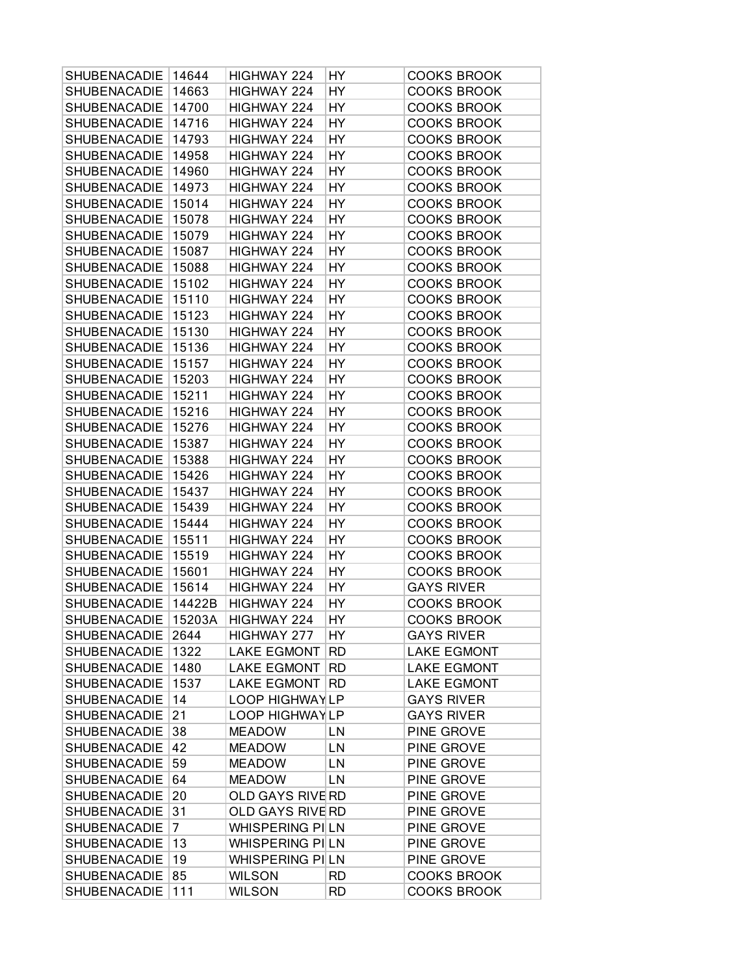| SHUBENACADIE                               | 14644          | HIGHWAY 224             | HY        | <b>COOKS BROOK</b>                      |
|--------------------------------------------|----------------|-------------------------|-----------|-----------------------------------------|
| SHUBENACADIE                               | 14663          | HIGHWAY 224             | HY        | <b>COOKS BROOK</b>                      |
| SHUBENACADIE                               | 14700          | HIGHWAY 224             | HY        | <b>COOKS BROOK</b>                      |
| <b>SHUBENACADIE</b>                        | 14716          | HIGHWAY 224             | HY        | <b>COOKS BROOK</b>                      |
| SHUBENACADIE                               | 14793          | HIGHWAY 224             | HY        | <b>COOKS BROOK</b>                      |
| <b>SHUBENACADIE</b>                        | 14958          | HIGHWAY 224             | HY        | <b>COOKS BROOK</b>                      |
| SHUBENACADIE                               | 14960          | HIGHWAY 224             | HY        | <b>COOKS BROOK</b>                      |
| SHUBENACADIE                               | 14973          | HIGHWAY 224             | HY        | <b>COOKS BROOK</b>                      |
| SHUBENACADIE                               | 15014          | HIGHWAY 224             | HY        | <b>COOKS BROOK</b>                      |
| <b>SHUBENACADIE</b>                        | 15078          | HIGHWAY 224             | HY        | <b>COOKS BROOK</b>                      |
| <b>SHUBENACADIE</b>                        | 15079          | HIGHWAY 224             | HY        | <b>COOKS BROOK</b>                      |
| <b>SHUBENACADIE</b>                        | 15087          | HIGHWAY 224             | HY        | <b>COOKS BROOK</b>                      |
| <b>SHUBENACADIE</b>                        | 15088          | HIGHWAY 224             | HY        | <b>COOKS BROOK</b>                      |
| <b>SHUBENACADIE</b>                        | 15102          | HIGHWAY 224             | HY        | <b>COOKS BROOK</b>                      |
| SHUBENACADIE                               | 15110          | HIGHWAY 224             | HY        | <b>COOKS BROOK</b>                      |
| <b>SHUBENACADIE</b>                        | 15123          | HIGHWAY 224             | HY        | <b>COOKS BROOK</b>                      |
| <b>SHUBENACADIE</b>                        | 15130          | HIGHWAY 224             | HY        | <b>COOKS BROOK</b>                      |
| <b>SHUBENACADIE</b>                        | 15136          | HIGHWAY 224             | HY        | <b>COOKS BROOK</b>                      |
| <b>SHUBENACADIE</b>                        | 15157          | HIGHWAY 224             | HY        | <b>COOKS BROOK</b>                      |
| SHUBENACADIE                               | 15203          | HIGHWAY 224             | HY        | <b>COOKS BROOK</b>                      |
| SHUBENACADIE                               | 15211          | HIGHWAY 224             | HY        | <b>COOKS BROOK</b>                      |
| <b>SHUBENACADIE</b>                        | 15216          | HIGHWAY 224             | HY        | <b>COOKS BROOK</b>                      |
| <b>SHUBENACADIE</b>                        | 15276          | HIGHWAY 224             | HY        | <b>COOKS BROOK</b>                      |
| <b>SHUBENACADIE</b>                        | 15387          | HIGHWAY 224             | HY        | <b>COOKS BROOK</b>                      |
| <b>SHUBENACADIE</b>                        | 15388          | HIGHWAY 224             | HY        | <b>COOKS BROOK</b>                      |
| <b>SHUBENACADIE</b>                        | 15426          | HIGHWAY 224             | HY        | <b>COOKS BROOK</b>                      |
| <b>SHUBENACADIE</b>                        | 15437          | HIGHWAY 224             | HY        | <b>COOKS BROOK</b>                      |
| <b>SHUBENACADIE</b>                        | 15439          | HIGHWAY 224             | HY        | <b>COOKS BROOK</b>                      |
| <b>SHUBENACADIE</b>                        | 15444          | HIGHWAY 224             | HY        | <b>COOKS BROOK</b>                      |
| <b>SHUBENACADIE</b>                        |                | HIGHWAY 224             | HY        | <b>COOKS BROOK</b>                      |
| SHUBENACADIE                               | 15511<br>15519 | HIGHWAY 224             | HY        | <b>COOKS BROOK</b>                      |
| <b>SHUBENACADIE</b>                        | 15601          | HIGHWAY 224             | HY        | <b>COOKS BROOK</b>                      |
| <b>SHUBENACADIE</b>                        | 15614          | HIGHWAY 224             | HY        | <b>GAYS RIVER</b>                       |
| SHUBENACADIE                               | 14422B         | HIGHWAY 224             | HY        | <b>COOKS BROOK</b>                      |
| SHUBENACADIE                               | 15203A         | HIGHWAY 224             | HY        | <b>COOKS BROOK</b>                      |
|                                            |                |                         |           |                                         |
| <b>SHUBENACADIE</b><br><b>SHUBENACADIE</b> | 2644           | HIGHWAY 277             | HY        | <b>GAYS RIVER</b><br><b>LAKE EGMONT</b> |
|                                            | 1322           | <b>LAKE EGMONT</b>      | RD        |                                         |
| <b>SHUBENACADIE</b>                        | 1480<br>1537   | <b>LAKE EGMONT</b>      | <b>RD</b> | <b>LAKE EGMONT</b>                      |
| SHUBENACADIE                               |                | <b>LAKE EGMONT</b>      | <b>RD</b> | <b>LAKE EGMONT</b>                      |
| <b>SHUBENACADIE</b>                        | 14             | LOOP HIGHWAYLP          |           | <b>GAYS RIVER</b>                       |
| <b>SHUBENACADIE</b>                        | 21             | <b>LOOP HIGHWAYLP</b>   |           | <b>GAYS RIVER</b>                       |
| <b>SHUBENACADIE</b>                        | 38             | <b>MEADOW</b>           | LN        | PINE GROVE                              |
| <b>SHUBENACADIE</b>                        | 42             | <b>MEADOW</b>           | LN        | PINE GROVE                              |
| <b>SHUBENACADIE</b>                        | 59             | <b>MEADOW</b>           | LN        | PINE GROVE                              |
| <b>SHUBENACADIE</b>                        | 64             | <b>MEADOW</b>           | LN        | PINE GROVE                              |
| <b>SHUBENACADIE</b>                        | 20             | <b>OLD GAYS RIVE RD</b> |           | PINE GROVE                              |
| <b>SHUBENACADIE</b>                        | 31             | <b>OLD GAYS RIVE RD</b> |           | PINE GROVE                              |
| <b>SHUBENACADIE</b>                        | $\overline{7}$ | <b>WHISPERING PILN</b>  |           | PINE GROVE                              |
| <b>SHUBENACADIE</b>                        | 13             | WHISPERING PILN         |           | PINE GROVE                              |
| <b>SHUBENACADIE</b>                        | 19             | WHISPERING PILN         |           | PINE GROVE                              |
| SHUBENACADIE                               | 85             | <b>WILSON</b>           | <b>RD</b> | <b>COOKS BROOK</b>                      |
| SHUBENACADIE                               | 111            | <b>WILSON</b>           | RD        | <b>COOKS BROOK</b>                      |